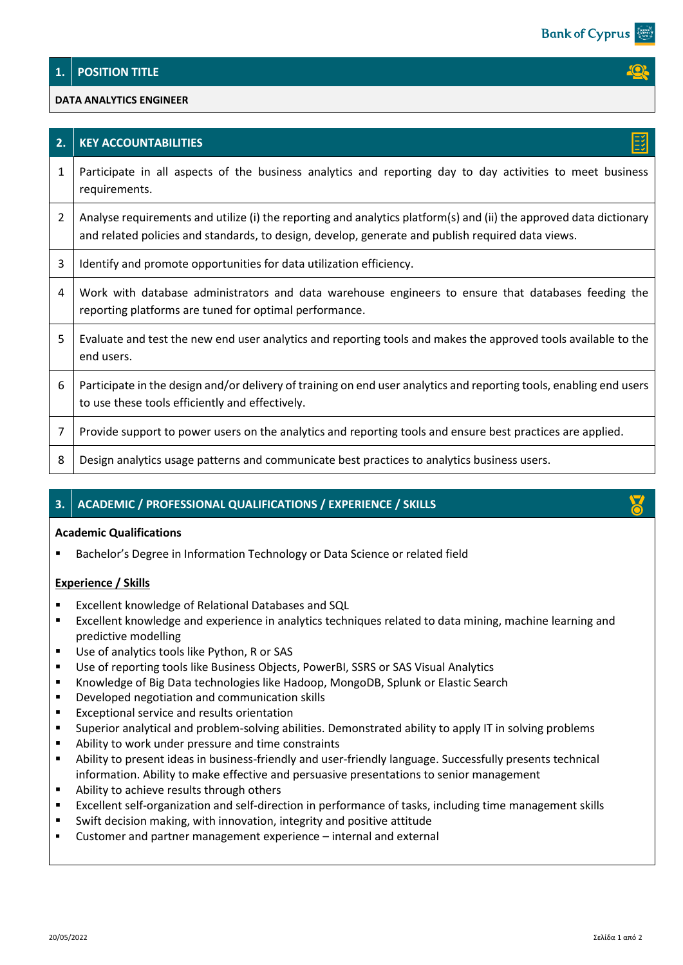## **1. POSITION TITLE**

### **DATA ANALYTICS ENGINEER**

| 2. | <b>KEY ACCOUNTABILITIES</b>                                                                                                                                                                                             |
|----|-------------------------------------------------------------------------------------------------------------------------------------------------------------------------------------------------------------------------|
| 1  | Participate in all aspects of the business analytics and reporting day to day activities to meet business<br>requirements.                                                                                              |
| 2  | Analyse requirements and utilize (i) the reporting and analytics platform(s) and (ii) the approved data dictionary<br>and related policies and standards, to design, develop, generate and publish required data views. |
| 3  | Identify and promote opportunities for data utilization efficiency.                                                                                                                                                     |
| 4  | Work with database administrators and data warehouse engineers to ensure that databases feeding the<br>reporting platforms are tuned for optimal performance.                                                           |
| 5  | Evaluate and test the new end user analytics and reporting tools and makes the approved tools available to the<br>end users.                                                                                            |
| 6  | Participate in the design and/or delivery of training on end user analytics and reporting tools, enabling end users<br>to use these tools efficiently and effectively.                                                  |
| 7  | Provide support to power users on the analytics and reporting tools and ensure best practices are applied.                                                                                                              |
| 8  | Design analytics usage patterns and communicate best practices to analytics business users.                                                                                                                             |

# **3. ACADEMIC / PROFESSIONAL QUALIFICATIONS / EXPERIENCE / SKILLS**

#### **Academic Qualifications**

Bachelor's Degree in Information Technology or Data Science or related field

### **Experience / Skills**

- Excellent knowledge of Relational Databases and SQL
- Excellent knowledge and experience in analytics techniques related to data mining, machine learning and predictive modelling
- Use of analytics tools like Python, R or SAS
- Use of reporting tools like Business Objects, PowerBI, SSRS or SAS Visual Analytics
- Knowledge of Big Data technologies like Hadoop, MongoDB, Splunk or Elastic Search
- Developed negotiation and communication skills
- Exceptional service and results orientation
- Superior analytical and problem-solving abilities. Demonstrated ability to apply IT in solving problems
- Ability to work under pressure and time constraints
- Ability to present ideas in business-friendly and user-friendly language. Successfully presents technical information. Ability to make effective and persuasive presentations to senior management
- Ability to achieve results through others
- Excellent self-organization and self-direction in performance of tasks, including time management skills
- Swift decision making, with innovation, integrity and positive attitude
- Customer and partner management experience internal and external